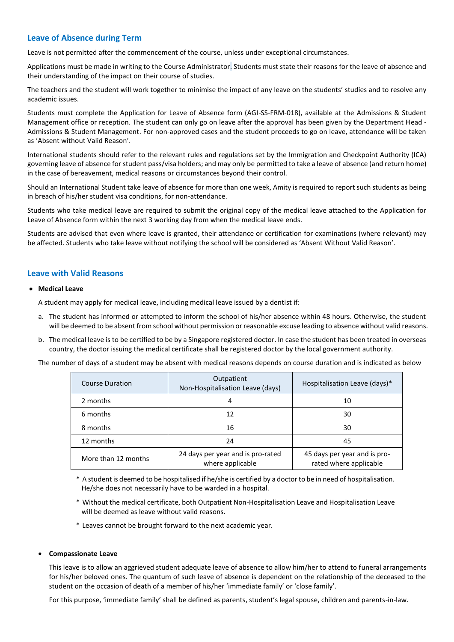# **Leave of Absence during Term**

Leave is not permitted after the commencement of the course, unless under exceptional circumstances.

Applications must be made in writing to the Course Administrator. Students must state their reasons for the leave of absence and their understanding of the impact on their course of studies.

The teachers and the student will work together to minimise the impact of any leave on the students' studies and to resolve any academic issues.

Students must complete the Application for Leave of Absence form (AGI-SS-FRM-018), available at the Admissions & Student Management office or reception. The student can only go on leave after the approval has been given by the Department Head - Admissions & Student Management. For non-approved cases and the student proceeds to go on leave, attendance will be taken as 'Absent without Valid Reason'.

International students should refer to the relevant rules and regulations set by the Immigration and Checkpoint Authority (ICA) governing leave of absence for student pass/visa holders; and may only be permitted to take a leave of absence (and return home) in the case of bereavement, medical reasons or circumstances beyond their control.

Should an International Student take leave of absence for more than one week, Amity is required to report such students as being in breach of his/her student visa conditions, for non-attendance.

Students who take medical leave are required to submit the original copy of the medical leave attached to the Application for Leave of Absence form within the next 3 working day from when the medical leave ends.

Students are advised that even where leave is granted, their attendance or certification for examinations (where relevant) may be affected. Students who take leave without notifying the school will be considered as 'Absent Without Valid Reason'.

## **Leave with Valid Reasons**

## • **Medical Leave**

A student may apply for medical leave, including medical leave issued by a dentist if:

- a. The student has informed or attempted to inform the school of his/her absence within 48 hours. Otherwise, the student will be deemed to be absent from school without permission or reasonable excuse leading to absence without valid reasons.
- b. The medical leave is to be certified to be by a Singapore registered doctor. In case the student has been treated in overseas country, the doctor issuing the medical certificate shall be registered doctor by the local government authority.

The number of days of a student may be absent with medical reasons depends on course duration and is indicated as below

| Course Duration     | Outpatient<br>Non-Hospitalisation Leave (days)        | Hospitalisation Leave (days)*                          |
|---------------------|-------------------------------------------------------|--------------------------------------------------------|
| 2 months            | 4                                                     | 10                                                     |
| 6 months            | 12                                                    | 30                                                     |
| 8 months            | 16                                                    | 30                                                     |
| 12 months           | 24                                                    | 45                                                     |
| More than 12 months | 24 days per year and is pro-rated<br>where applicable | 45 days per year and is pro-<br>rated where applicable |

\* A student is deemed to be hospitalised if he/she is certified by a doctor to be in need of hospitalisation. He/she does not necessarily have to be warded in a hospital.

- \* Without the medical certificate, both Outpatient Non-Hospitalisation Leave and Hospitalisation Leave will be deemed as leave without valid reasons.
- \* Leaves cannot be brought forward to the next academic year.

#### • **Compassionate Leave**

This leave is to allow an aggrieved student adequate leave of absence to allow him/her to attend to funeral arrangements for his/her beloved ones. The quantum of such leave of absence is dependent on the relationship of the deceased to the student on the occasion of death of a member of his/her 'immediate family' or 'close family'.

For this purpose, 'immediate family' shall be defined as parents, student's legal spouse, children and parents-in-law.